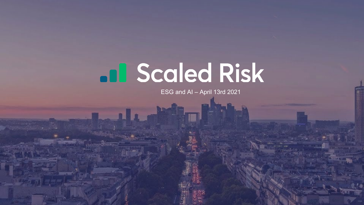# **all Scaled Risk**

ESG and AI - April 13rd 2021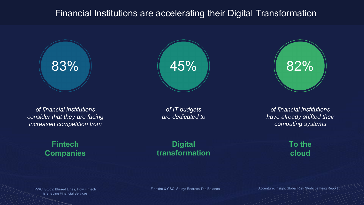# Financial Institutions are accelerating their Digital Transformation



*of financial institutions consider that they are facing increased competition from*





*of IT budgets are dedicated to*

**Digital** 

**transformation**

82%

*of financial institutions have already shifted their computing systems* 

> **To the cloud**

PWC, Study: Blurred Lines, How Fintech is Shaping Financial Services

Finextra & CSC, Study: Redress The Balance

Accenture, Insight Global Risk Study banking Report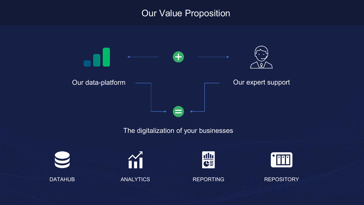Our Value Proposition

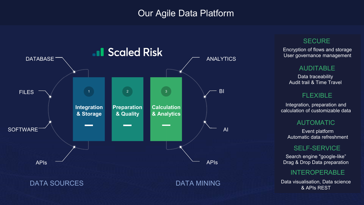# Our Agile Data Platform



#### **SECURE**

Encryption of flows and storage User governance management

#### AUDITABLE

Data traceability Audit trail & Time Travel

#### FLEXIBLE

Integration, preparation and calculation of customizable data

#### AUTOMATIC

Event platform Automatic data refreshment

#### SELF-SERVICE

Search engine "google-like" Drag & Drop Data preparation

#### INTEROPERABLE

Data visualisation, Data science & APIs REST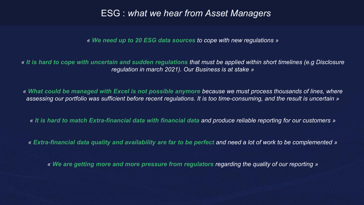## ESG : *what we hear from Asset Managers*

*« We need up to 20 ESG data sources to cope with new regulations »*

*« It is hard to cope with uncertain and sudden regulations that must be applied within short timelines (e.g Disclosure regulation in march 2021). Our Business is at stake »*

*« What could be managed with Excel is not possible anymore because we must process thousands of lines, where assessing our portfolio was sufficient before recent regulations. It is too time-consuming, and the result is uncertain »*

*« It is hard to match Extra-financial data with financial data and produce reliable reporting for our customers »*

*« Extra-financial data quality and availability are far to be perfect and need a lot of work to be complemented »*

*« We are getting more and more pressure from regulators regarding the quality of our reporting »*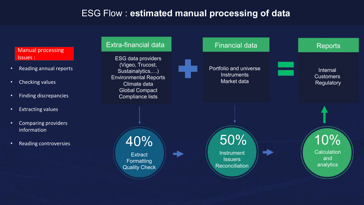# ESG Flow : **estimated manual processing of data**

Manual processing Issues :

- Reading annual reports
- Checking values
- Finding discrepancies
- Extracting values
- Comparing providers information
- Reading controversies

#### ESG data providers (Vigeo, Trucost, Sustainalytics,…) Environmental Reports

Extra-financial data

Climate data Global Compact Compliance lists

> **Extract** Formatting Quality Check

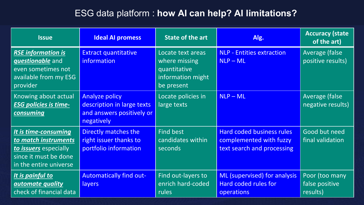# ESG data platform : **how AI can help? AI limitations?**

| <b>Issue</b>                                                                                                                    | <b>Ideal AI promess</b>                                                                        | <b>State of the art</b>                                                               | Alg.                                                                               | <b>Accuracy (state</b><br>of the art)        |
|---------------------------------------------------------------------------------------------------------------------------------|------------------------------------------------------------------------------------------------|---------------------------------------------------------------------------------------|------------------------------------------------------------------------------------|----------------------------------------------|
| <b>RSE information is</b><br>questionable and<br>even sometimes not<br>available from my ESG<br>provider                        | <b>Extract quantitative</b><br>information                                                     | Locate text areas<br>where missing<br>quantitative<br>information might<br>be present | <b>NLP - Entities extraction</b><br>$NLP - ML$                                     | Average (false)<br>positive results)         |
| Knowing about actual<br><b>ESG policies is time-</b><br>consuming                                                               | <b>Analyze policy</b><br>description in large texts<br>and answers positively or<br>negatively | Locate policies in<br>large texts                                                     | $NLP - ML$                                                                         | Average (false<br>negative results)          |
| It is time-consuming<br>to match instruments<br>to <i>issuers</i> especially<br>since it must be done<br>in the entire universe | Directly matches the<br>right issuer thanks to<br>portfolio information                        | <b>Find best</b><br>candidates within<br>seconds                                      | Hard coded business rules<br>complemented with fuzzy<br>text search and processing | Good but need<br>final validation            |
| It is painful to<br>automate quality<br>check of financial data                                                                 | <b>Automatically find out-</b><br>layers                                                       | Find out-layers to<br>enrich hard-coded<br>rules                                      | ML (supervised) for analysis<br>Hard coded rules for<br>operations                 | Poor (too many<br>false positive<br>results) |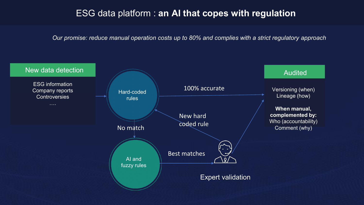# ESG data platform : **an AI that copes with regulation**

*Our promise: reduce manual operation costs up to 80% and complies with a strict regulatory approach* 

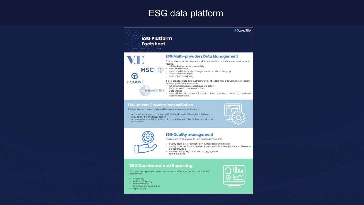## **ESG data platform**



- Issuer card
- Portfolio ESG rating
- Sector analysis
- Reporting pre-contractual
- export to pdf